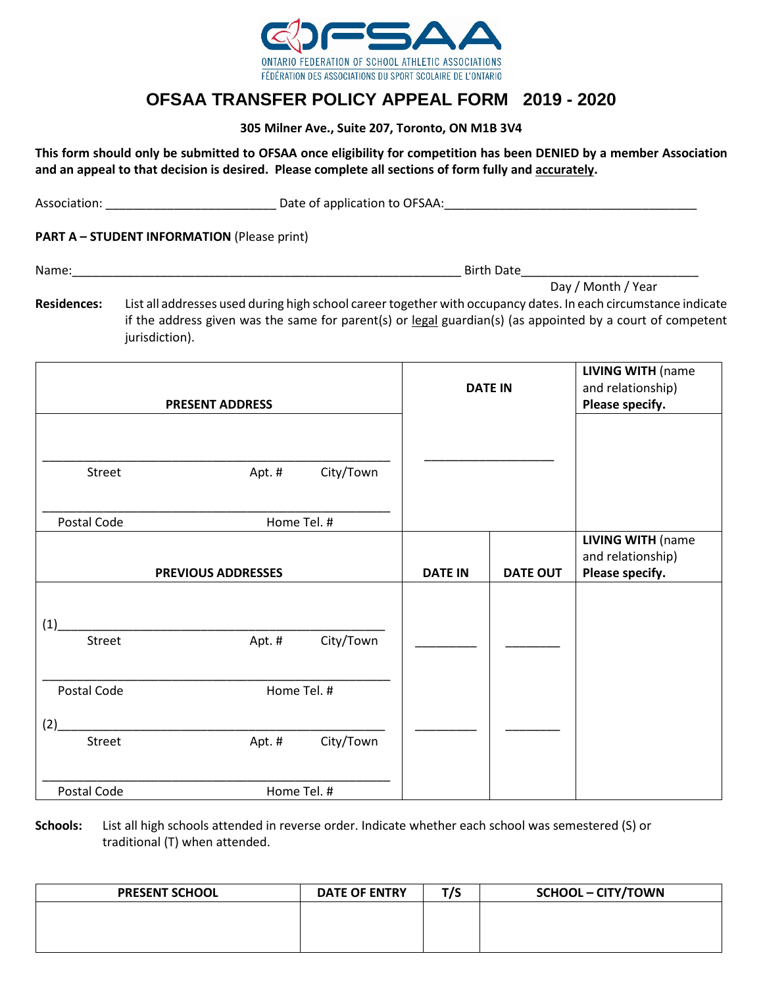

## **OFSAA TRANSFER POLICY APPEAL FORM 2019 - 2020**

**305 Milner Ave., Suite 207, Toronto, ON M1B 3V4**

**This form should only be submitted to OFSAA once eligibility for competition has been DENIED by a member Association and an appeal to that decision is desired. Please complete all sections of form fully and accurately.**

Association: \_\_\_\_\_\_\_\_\_\_\_\_\_\_\_\_\_\_\_\_\_\_\_\_\_ Date of application to OFSAA:\_\_\_\_\_\_\_\_\_\_\_\_\_\_\_\_\_\_\_\_\_\_\_\_\_\_\_\_\_\_\_\_\_\_\_\_\_

**PART A – STUDENT INFORMATION** (Please print)

Name:\_\_\_\_\_\_\_\_\_\_\_\_\_\_\_\_\_\_\_\_\_\_\_\_\_\_\_\_\_\_\_\_\_\_\_\_\_\_\_\_\_\_\_\_\_\_\_\_\_\_\_\_\_\_\_\_\_ Birth Date\_\_\_\_\_\_\_\_\_\_\_\_\_\_\_\_\_\_\_\_\_\_\_\_\_\_

 Day / Month / Year **Residences:** List all addresses used during high school career together with occupancy dates. In each circumstance indicate if the address given was the same for parent(s) or legal guardian(s) (as appointed by a court of competent jurisdiction).

| <b>PRESENT ADDRESS</b> |                           |           | <b>DATE IN</b> |                 | <b>LIVING WITH (name</b><br>and relationship)<br>Please specify. |
|------------------------|---------------------------|-----------|----------------|-----------------|------------------------------------------------------------------|
| Street                 | Apt. #                    | City/Town |                |                 |                                                                  |
| Postal Code            | Home Tel. #               |           |                |                 |                                                                  |
|                        | <b>PREVIOUS ADDRESSES</b> |           | <b>DATE IN</b> | <b>DATE OUT</b> | <b>LIVING WITH (name</b><br>and relationship)<br>Please specify. |
| (1)                    |                           |           |                |                 |                                                                  |
| Street                 | Apt. #                    | City/Town |                |                 |                                                                  |
| Postal Code            | Home Tel. #               |           |                |                 |                                                                  |
| (2)                    |                           |           |                |                 |                                                                  |
| Street                 | Apt. #                    | City/Town |                |                 |                                                                  |
| Postal Code            | Home Tel. #               |           |                |                 |                                                                  |

**Schools:** List all high schools attended in reverse order. Indicate whether each school was semestered (S) or traditional (T) when attended.

| <b>PRESENT SCHOOL</b> | <b>DATE OF ENTRY</b> | T / C | <b>SCHOOL - CITY/TOWN</b> |
|-----------------------|----------------------|-------|---------------------------|
|                       |                      |       |                           |
|                       |                      |       |                           |
|                       |                      |       |                           |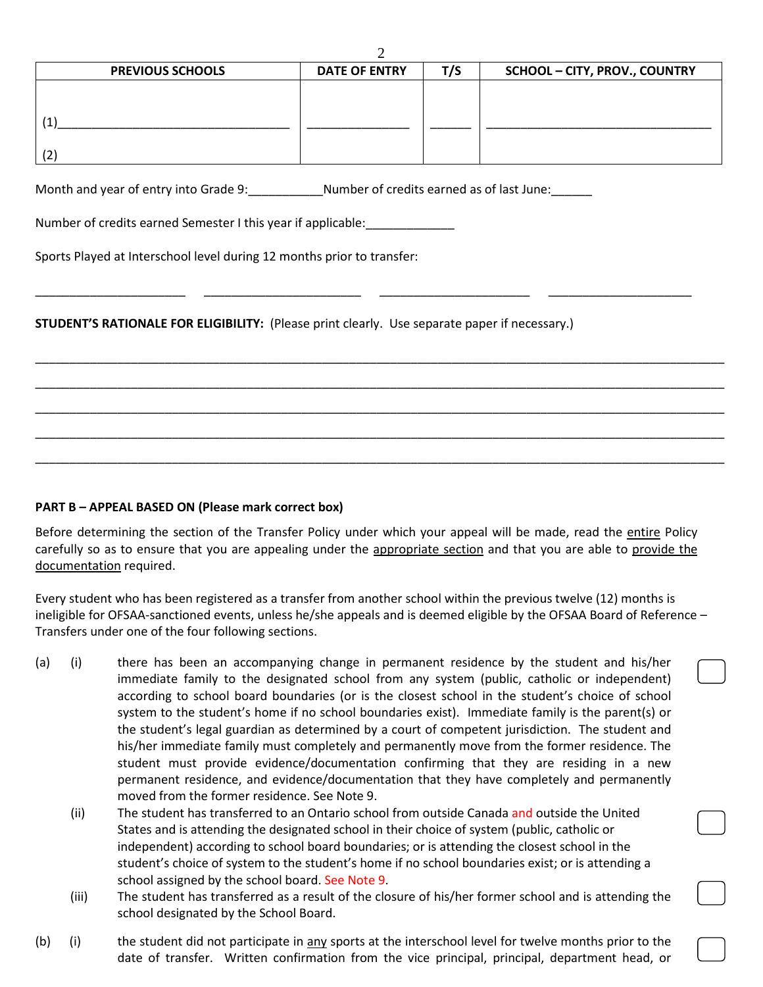|                         | -                    |     |                                      |
|-------------------------|----------------------|-----|--------------------------------------|
| <b>PREVIOUS SCHOOLS</b> | <b>DATE OF ENTRY</b> | T/S | <b>SCHOOL - CITY, PROV., COUNTRY</b> |
|                         |                      |     |                                      |
|                         |                      |     |                                      |
|                         |                      |     |                                      |
|                         |                      |     |                                      |
| 12                      |                      |     |                                      |

\_\_\_\_\_\_\_\_\_\_\_\_\_\_\_\_\_\_\_\_\_\_ \_\_\_\_\_\_\_\_\_\_\_\_\_\_\_\_\_\_\_\_\_\_\_ \_\_\_\_\_\_\_\_\_\_\_\_\_\_\_\_\_\_\_\_\_\_ \_\_\_\_\_\_\_\_\_\_\_\_\_\_\_\_\_\_\_\_\_

\_\_\_\_\_\_\_\_\_\_\_\_\_\_\_\_\_\_\_\_\_\_\_\_\_\_\_\_\_\_\_\_\_\_\_\_\_\_\_\_\_\_\_\_\_\_\_\_\_\_\_\_\_\_\_\_\_\_\_\_\_\_\_\_\_\_\_\_\_\_\_\_\_\_\_\_\_\_\_\_\_\_\_\_\_\_\_\_\_\_\_\_\_\_\_\_\_\_\_\_\_

\_\_\_\_\_\_\_\_\_\_\_\_\_\_\_\_\_\_\_\_\_\_\_\_\_\_\_\_\_\_\_\_\_\_\_\_\_\_\_\_\_\_\_\_\_\_\_\_\_\_\_\_\_\_\_\_\_\_\_\_\_\_\_\_\_\_\_\_\_\_\_\_\_\_\_\_\_\_\_\_\_\_\_\_\_\_\_\_\_\_\_\_\_\_\_\_\_\_\_\_\_

\_\_\_\_\_\_\_\_\_\_\_\_\_\_\_\_\_\_\_\_\_\_\_\_\_\_\_\_\_\_\_\_\_\_\_\_\_\_\_\_\_\_\_\_\_\_\_\_\_\_\_\_\_\_\_\_\_\_\_\_\_\_\_\_\_\_\_\_\_\_\_\_\_\_\_\_\_\_\_\_\_\_\_\_\_\_\_\_\_\_\_\_\_\_\_\_\_\_\_\_\_

\_\_\_\_\_\_\_\_\_\_\_\_\_\_\_\_\_\_\_\_\_\_\_\_\_\_\_\_\_\_\_\_\_\_\_\_\_\_\_\_\_\_\_\_\_\_\_\_\_\_\_\_\_\_\_\_\_\_\_\_\_\_\_\_\_\_\_\_\_\_\_\_\_\_\_\_\_\_\_\_\_\_\_\_\_\_\_\_\_\_\_\_\_\_\_\_\_\_\_\_\_

\_\_\_\_\_\_\_\_\_\_\_\_\_\_\_\_\_\_\_\_\_\_\_\_\_\_\_\_\_\_\_\_\_\_\_\_\_\_\_\_\_\_\_\_\_\_\_\_\_\_\_\_\_\_\_\_\_\_\_\_\_\_\_\_\_\_\_\_\_\_\_\_\_\_\_\_\_\_\_\_\_\_\_\_\_\_\_\_\_\_\_\_\_\_\_\_\_\_\_\_\_

 $\mathcal{D}$ 

Month and year of entry into Grade 9: \_\_\_\_\_\_\_\_\_\_\_\_\_\_Number of credits earned as of last June: \_\_\_\_\_\_

Number of credits earned Semester I this year if applicable:

Sports Played at Interschool level during 12 months prior to transfer:

**STUDENT'S RATIONALE FOR ELIGIBILITY:** (Please print clearly. Use separate paper if necessary.)

## **PART B – APPEAL BASED ON (Please mark correct box)**

Before determining the section of the Transfer Policy under which your appeal will be made, read the entire Policy carefully so as to ensure that you are appealing under the appropriate section and that you are able to provide the documentation required.

Every student who has been registered as a transfer from another school within the previous twelve (12) months is ineligible for OFSAA-sanctioned events, unless he/she appeals and is deemed eligible by the OFSAA Board of Reference – Transfers under one of the four following sections.

- (a) (i) there has been an accompanying change in permanent residence by the student and his/her immediate family to the designated school from any system (public, catholic or independent) according to school board boundaries (or is the closest school in the student's choice of school system to the student's home if no school boundaries exist). Immediate family is the parent(s) or the student's legal guardian as determined by a court of competent jurisdiction. The student and his/her immediate family must completely and permanently move from the former residence. The student must provide evidence/documentation confirming that they are residing in a new permanent residence, and evidence/documentation that they have completely and permanently moved from the former residence. See Note 9.
	- (ii) The student has transferred to an Ontario school from outside Canada and outside the United States and is attending the designated school in their choice of system (public, catholic or independent) according to school board boundaries; or is attending the closest school in the student's choice of system to the student's home if no school boundaries exist; or is attending a school assigned by the school board. See Note 9.
	- (iii) The student has transferred as a result of the closure of his/her former school and is attending the school designated by the School Board.
- (b) (i) the student did not participate in any sports at the interschool level for twelve months prior to the date of transfer. Written confirmation from the vice principal, principal, department head, or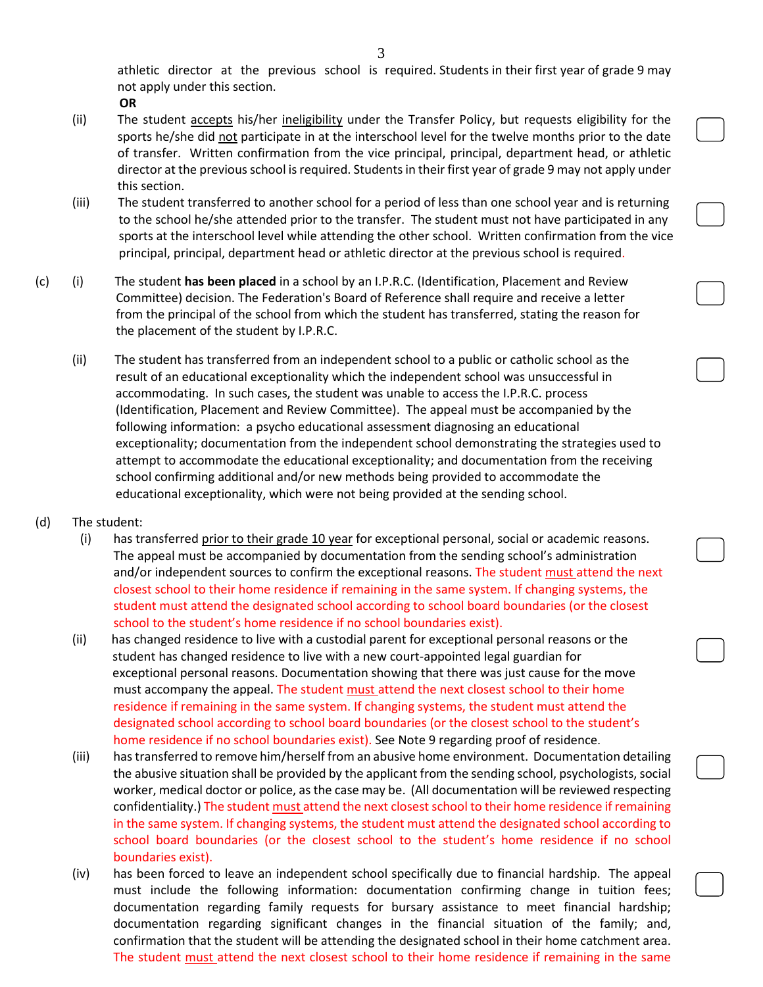athletic director at the previous school is required. Students in their first year of grade 9 may not apply under this section.

**OR**

- (ii) The student accepts his/her ineligibility under the Transfer Policy, but requests eligibility for the sports he/she did not participate in at the interschool level for the twelve months prior to the date of transfer. Written confirmation from the vice principal, principal, department head, or athletic director at the previous school is required. Students in their first year of grade 9 may not apply under this section.
- (iii) The student transferred to another school for a period of less than one school year and is returning to the school he/she attended prior to the transfer. The student must not have participated in any sports at the interschool level while attending the other school. Written confirmation from the vice principal, principal, department head or athletic director at the previous school is required.
- (c) (i) The student **has been placed** in a school by an I.P.R.C. (Identification, Placement and Review Committee) decision. The Federation's Board of Reference shall require and receive a letter from the principal of the school from which the student has transferred, stating the reason for the placement of the student by I.P.R.C.
	- (ii) The student has transferred from an independent school to a public or catholic school as the result of an educational exceptionality which the independent school was unsuccessful in accommodating. In such cases, the student was unable to access the I.P.R.C. process (Identification, Placement and Review Committee). The appeal must be accompanied by the following information: a psycho educational assessment diagnosing an educational exceptionality; documentation from the independent school demonstrating the strategies used to attempt to accommodate the educational exceptionality; and documentation from the receiving school confirming additional and/or new methods being provided to accommodate the educational exceptionality, which were not being provided at the sending school.
- (d) The student:
	- (i) has transferred prior to their grade 10 year for exceptional personal, social or academic reasons. The appeal must be accompanied by documentation from the sending school's administration and/or independent sources to confirm the exceptional reasons. The student must attend the next closest school to their home residence if remaining in the same system. If changing systems, the student must attend the designated school according to school board boundaries (or the closest school to the student's home residence if no school boundaries exist).
	- (ii) has changed residence to live with a custodial parent for exceptional personal reasons or the student has changed residence to live with a new court-appointed legal guardian for exceptional personal reasons. Documentation showing that there was just cause for the move must accompany the appeal. The student must attend the next closest school to their home residence if remaining in the same system. If changing systems, the student must attend the designated school according to school board boundaries (or the closest school to the student's home residence if no school boundaries exist). See Note 9 regarding proof of residence.
	- (iii) has transferred to remove him/herself from an abusive home environment. Documentation detailing the abusive situation shall be provided by the applicant from the sending school, psychologists, social worker, medical doctor or police, as the case may be. (All documentation will be reviewed respecting confidentiality.) The student must attend the next closest school to their home residence if remaining in the same system. If changing systems, the student must attend the designated school according to school board boundaries (or the closest school to the student's home residence if no school boundaries exist).
	- (iv) has been forced to leave an independent school specifically due to financial hardship. The appeal must include the following information: documentation confirming change in tuition fees; documentation regarding family requests for bursary assistance to meet financial hardship; documentation regarding significant changes in the financial situation of the family; and, confirmation that the student will be attending the designated school in their home catchment area. The student must attend the next closest school to their home residence if remaining in the same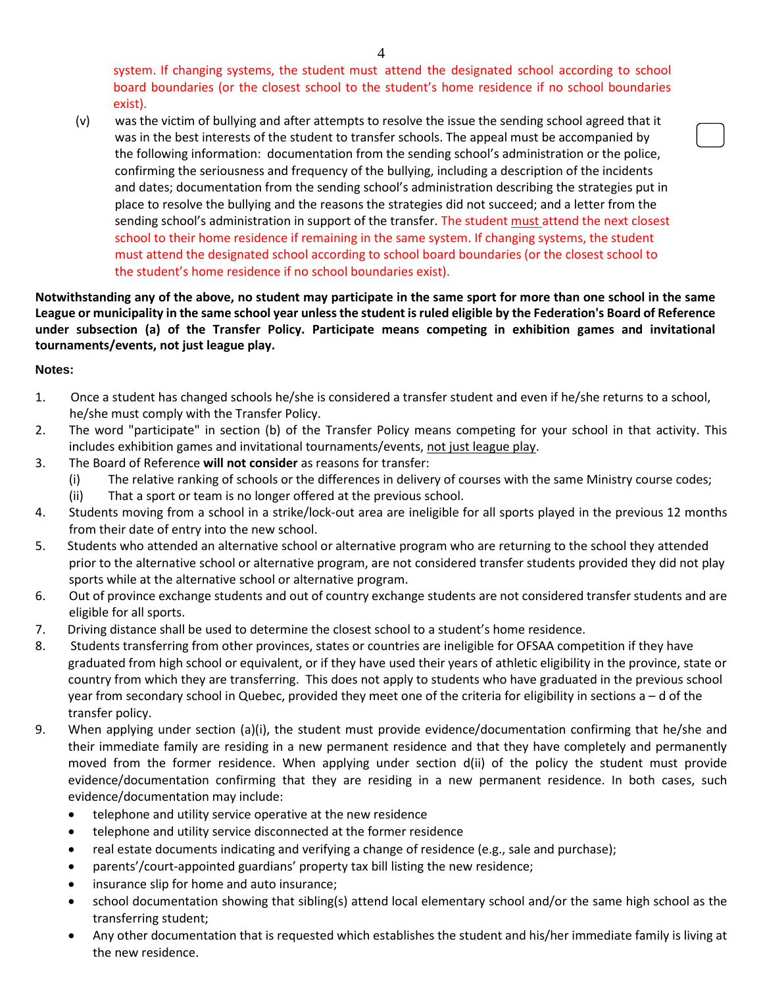system. If changing systems, the student must attend the designated school according to school board boundaries (or the closest school to the student's home residence if no school boundaries exist).

 (v) was the victim of bullying and after attempts to resolve the issue the sending school agreed that it was in the best interests of the student to transfer schools. The appeal must be accompanied by the following information: documentation from the sending school's administration or the police, confirming the seriousness and frequency of the bullying, including a description of the incidents and dates; documentation from the sending school's administration describing the strategies put in place to resolve the bullying and the reasons the strategies did not succeed; and a letter from the sending school's administration in support of the transfer. The student must attend the next closest school to their home residence if remaining in the same system. If changing systems, the student must attend the designated school according to school board boundaries (or the closest school to the student's home residence if no school boundaries exist).

**Notwithstanding any of the above, no student may participate in the same sport for more than one school in the same League or municipality in the same school year unless the student is ruled eligible by the Federation's Board of Reference under subsection (a) of the Transfer Policy. Participate means competing in exhibition games and invitational tournaments/events, not just league play.**

## **Notes:**

- 1. Once a student has changed schools he/she is considered a transfer student and even if he/she returns to a school, he/she must comply with the Transfer Policy.
- 2. The word "participate" in section (b) of the Transfer Policy means competing for your school in that activity. This includes exhibition games and invitational tournaments/events, not just league play.
- 3. The Board of Reference **will not consider** as reasons for transfer:
	- (i) The relative ranking of schools or the differences in delivery of courses with the same Ministry course codes;
	- (ii) That a sport or team is no longer offered at the previous school.
- 4. Students moving from a school in a strike/lock-out area are ineligible for all sports played in the previous 12 months from their date of entry into the new school.
- 5. Students who attended an alternative school or alternative program who are returning to the school they attended prior to the alternative school or alternative program, are not considered transfer students provided they did not play sports while at the alternative school or alternative program.
- 6. Out of province exchange students and out of country exchange students are not considered transfer students and are eligible for all sports.
- 7. Driving distance shall be used to determine the closest school to a student's home residence.
- 8. Students transferring from other provinces, states or countries are ineligible for OFSAA competition if they have graduated from high school or equivalent, or if they have used their years of athletic eligibility in the province, state or country from which they are transferring. This does not apply to students who have graduated in the previous school year from secondary school in Quebec, provided they meet one of the criteria for eligibility in sections a – d of the transfer policy.
- 9. When applying under section (a)(i), the student must provide evidence/documentation confirming that he/she and their immediate family are residing in a new permanent residence and that they have completely and permanently moved from the former residence. When applying under section d(ii) of the policy the student must provide evidence/documentation confirming that they are residing in a new permanent residence. In both cases, such evidence/documentation may include:
	- telephone and utility service operative at the new residence
	- telephone and utility service disconnected at the former residence
	- real estate documents indicating and verifying a change of residence (e.g., sale and purchase);
	- parents'/court-appointed guardians' property tax bill listing the new residence;
	- insurance slip for home and auto insurance;
	- school documentation showing that sibling(s) attend local elementary school and/or the same high school as the transferring student;
	- Any other documentation that is requested which establishes the student and his/her immediate family is living at the new residence.